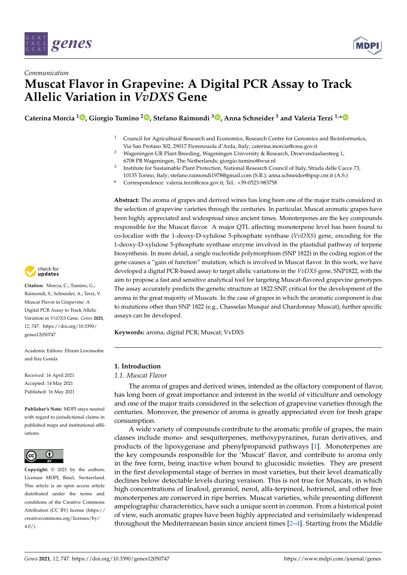



# *Communication* **Muscat Flavor in Grapevine: A Digital PCR Assay to Track Allelic Variation in** *VvDXS* **Gene**

**Caterina Morcia <sup>1</sup> [,](https://orcid.org/0000-0001-5316-7435) Giorgio Tumino <sup>2</sup> [,](https://orcid.org/0000-0002-6505-7652) Stefano Raimondi <sup>3</sup> [,](https://orcid.org/0000-0001-5907-5486) Anna Schneider <sup>3</sup> and Valeria Terzi 1,[\\*](https://orcid.org/0000-0002-8006-6805)**

- $1$  Council for Agricultural Research and Economics, Research Centre for Genomics and Bioinformatics, Via San Protaso 302, 29017 Fiorenzuola d'Arda, Italy; caterina.morcia@crea.gov.it
- <sup>2</sup> Wageningen UR Plant Breeding, Wageningen University & Research, Droevendaalsesteeg 1, 6708 PB Wageningen, The Netherlands; giorgio.tumino@wur.nl
- 3 Institute for Sustainable Plant Protection, National Research Council of Italy, Strada delle Cacce 73, 10135 Torino, Italy; stefano.raimondi1978@gmail.com (S.R.); anna.schneider@ipsp.cnr.it (A.S.)
- **\*** Correspondence: valeria.terzi@crea.gov.it; Tel.: +39-0523-983758

**Abstract:** The aroma of grapes and derived wines has long been one of the major traits considered in the selection of grapevine varieties through the centuries. In particular, Muscat aromatic grapes have been highly appreciated and widespread since ancient times. Monoterpenes are the key compounds responsible for the Muscat flavor. A major QTL affecting monoterpene level has been found to co-localize with the 1-deoxy-D-xylulose 5-phosphate synthase (*VvDXS*) gene, encoding for the 1-deoxy-D-xylulose 5-phosphate synthase enzyme involved in the plastidial pathway of terpene biosynthesis. In more detail, a single nucleotide polymorphism (SNP 1822) in the coding region of the gene causes a "gain of function" mutation, which is involved in Muscat flavor. In this work, we have developed a digital PCR-based assay to target allelic variations in the *VvDXS* gene, SNP1822, with the aim to propose a fast and sensitive analytical tool for targeting Muscat-flavored grapevine genotypes. The assay accurately predicts the genetic structure at 1822 SNP, critical for the development of the aroma in the great majority of Muscats. In the case of grapes in which the aromatic component is due to mutations other than SNP 1822 (e.g., Chasselas Musqué and Chardonnay Muscat), further specific assays can be developed.

**Keywords:** aroma; digital PCR; Muscat; VvDXS

# **1. Introduction**

*1.1. Muscat Flavor*

The aroma of grapes and derived wines, intended as the olfactory component of flavor, has long been of great importance and interest in the world of viticulture and oenology and one of the major traits considered in the selection of grapevine varieties through the centuries. Moreover, the presence of aroma is greatly appreciated even for fresh grape consumption.

A wide variety of compounds contribute to the aromatic profile of grapes, the main classes include mono- and sesquiterpenes, methoxypyrazines, furan derivatives, and products of the lipoxygenase and phenylpropanoid pathways [\[1\]](#page-5-0). Monoterpenes are the key compounds responsible for the 'Muscat' flavor, and contribute to aroma only in the free form, being inactive when bound to glucosidic moieties. They are present in the first developmental stage of berries in most varieties, but their level dramatically declines below detectable levels during veraison. This is not true for Muscats, in which high concentrations of linalool, geraniol, nerol, alfa-terpineol, hotrienol, and other free monoterpenes are conserved in ripe berries. Muscat varieties, while presenting different ampelographic characteristics, have such a unique scent in common. From a historical point of view, such aromatic grapes have been highly appreciated and verisimilarly widespread throughout the Mediterranean basin since ancient times [\[2–](#page-5-1)[4\]](#page-5-2). Starting from the Middle



**Citation:** Morcia, C.; Tumino, G.; Raimondi, S.; Schneider, A.; Terzi, V. Muscat Flavor in Grapevine: A Digital PCR Assay to Track Allelic Variation in *VvDXS* Gene. *Genes* **2021**, *12*, 747. [https://doi.org/10.3390/](https://doi.org/10.3390/genes12050747) [genes12050747](https://doi.org/10.3390/genes12050747)

Academic Editors: Efraim Lewinsohn and Itay Gonda

Received: 16 April 2021 Accepted: 14 May 2021 Published: 16 May 2021

**Publisher's Note:** MDPI stays neutral with regard to jurisdictional claims in published maps and institutional affiliations.



**Copyright:** © 2021 by the authors. Licensee MDPI, Basel, Switzerland. This article is an open access article distributed under the terms and conditions of the Creative Commons Attribution (CC BY) license (https:/[/](https://creativecommons.org/licenses/by/4.0/) [creativecommons.org/licenses/by/](https://creativecommons.org/licenses/by/4.0/)  $4.0/$ ).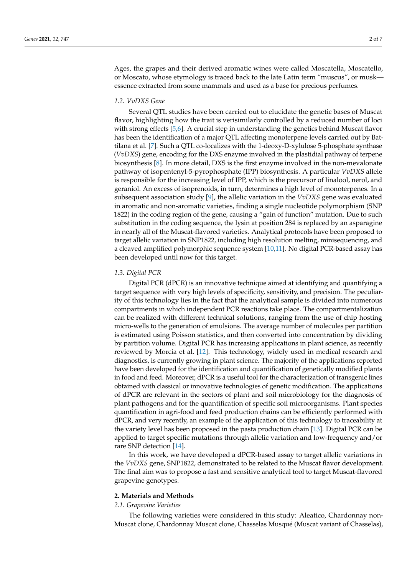Ages, the grapes and their derived aromatic wines were called Moscatella, Moscatello, or Moscato, whose etymology is traced back to the late Latin term "muscus", or musk essence extracted from some mammals and used as a base for precious perfumes.

#### *1.2. VvDXS Gene*

Several QTL studies have been carried out to elucidate the genetic bases of Muscat flavor, highlighting how the trait is verisimilarly controlled by a reduced number of loci with strong effects [\[5](#page-5-3)[,6\]](#page-5-4). A crucial step in understanding the genetics behind Muscat flavor has been the identification of a major QTL affecting monoterpene levels carried out by Battilana et al. [\[7\]](#page-5-5). Such a QTL co-localizes with the 1-deoxy-D-xylulose 5-phosphate synthase (*VvDXS*) gene, encoding for the DXS enzyme involved in the plastidial pathway of terpene biosynthesis [\[8\]](#page-5-6). In more detail, DXS is the first enzyme involved in the non-mevalonate pathway of isopentenyl-5-pyrophosphate (IPP) biosynthesis. A particular *VvDXS* allele is responsible for the increasing level of IPP, which is the precursor of linalool, nerol, and geraniol. An excess of isoprenoids, in turn, determines a high level of monoterpenes. In a subsequent association study [\[9\]](#page-5-7), the allelic variation in the *VvDXS* gene was evaluated in aromatic and non-aromatic varieties, finding a single nucleotide polymorphism (SNP 1822) in the coding region of the gene, causing a "gain of function" mutation. Due to such substitution in the coding sequence, the lysin at position 284 is replaced by an asparagine in nearly all of the Muscat-flavored varieties. Analytical protocols have been proposed to target allelic variation in SNP1822, including high resolution melting, minisequencing, and a cleaved amplified polymorphic sequence system [\[10,](#page-5-8)[11\]](#page-5-9). No digital PCR-based assay has been developed until now for this target.

# *1.3. Digital PCR*

Digital PCR (dPCR) is an innovative technique aimed at identifying and quantifying a target sequence with very high levels of specificity, sensitivity, and precision. The peculiarity of this technology lies in the fact that the analytical sample is divided into numerous compartments in which independent PCR reactions take place. The compartmentalization can be realized with different technical solutions, ranging from the use of chip hosting micro-wells to the generation of emulsions. The average number of molecules per partition is estimated using Poisson statistics, and then converted into concentration by dividing by partition volume. Digital PCR has increasing applications in plant science, as recently reviewed by Morcia et al. [\[12\]](#page-5-10). This technology, widely used in medical research and diagnostics, is currently growing in plant science. The majority of the applications reported have been developed for the identification and quantification of genetically modified plants in food and feed. Moreover, dPCR is a useful tool for the characterization of transgenic lines obtained with classical or innovative technologies of genetic modification. The applications of dPCR are relevant in the sectors of plant and soil microbiology for the diagnosis of plant pathogens and for the quantification of specific soil microorganisms. Plant species quantification in agri-food and feed production chains can be efficiently performed with dPCR, and very recently, an example of the application of this technology to traceability at the variety level has been proposed in the pasta production chain [\[13\]](#page-5-11). Digital PCR can be applied to target specific mutations through allelic variation and low-frequency and/or rare SNP detection [\[14\]](#page-5-12).

In this work, we have developed a dPCR-based assay to target allelic variations in the *VvDXS* gene, SNP1822, demonstrated to be related to the Muscat flavor development. The final aim was to propose a fast and sensitive analytical tool to target Muscat-flavored grapevine genotypes.

# **2. Materials and Methods**

#### *2.1. Grapevine Varieties*

The following varieties were considered in this study: Aleatico, Chardonnay non-Muscat clone, Chardonnay Muscat clone, Chasselas Musqué (Muscat variant of Chasselas),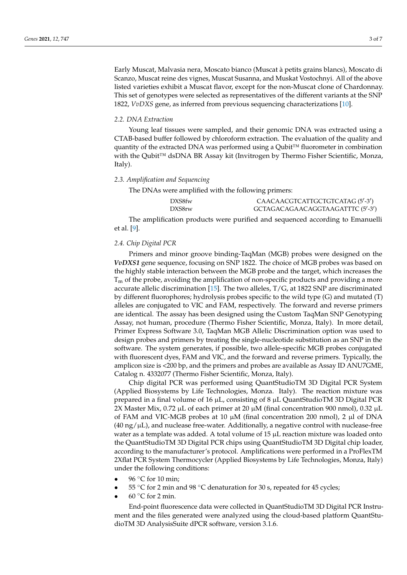Early Muscat, Malvasia nera, Moscato bianco (Muscat à petits grains blancs), Moscato di Scanzo, Muscat reine des vignes, Muscat Susanna, and Muskat Vostochnyi. All of the above listed varieties exhibit a Muscat flavor, except for the non-Muscat clone of Chardonnay. This set of genotypes were selected as representatives of the different variants at the SNP 1822, *VvDXS* gene, as inferred from previous sequencing characterizations [\[10\]](#page-5-8).

#### *2.2. DNA Extraction*

Young leaf tissues were sampled, and their genomic DNA was extracted using a CTAB-based buffer followed by chloroform extraction. The evaluation of the quality and quantity of the extracted DNA was performed using a Qubit™ fluorometer in combination with the Qubit™ dsDNA BR Assay kit (Invitrogen by Thermo Fisher Scientific, Monza, Italy).

#### *2.3. Amplification and Sequencing*

The DNAs were amplified with the following primers:

| DXS8fw | CAACAACGTCATTGCTGTCATAG (5'-3')  |
|--------|----------------------------------|
| DXS8rw | GCTAGACAGAACAGGTAAGATTTC (5'-3') |

The amplification products were purified and sequenced according to Emanuelli et al. [\[9\]](#page-5-7).

#### *2.4. Chip Digital PCR*

Primers and minor groove binding-TaqMan (MGB) probes were designed on the *VvDXS1* gene sequence, focusing on SNP 1822. The choice of MGB probes was based on the highly stable interaction between the MGB probe and the target, which increases the  $T_m$  of the probe, avoiding the amplification of non-specific products and providing a more accurate allelic discrimination [\[15\]](#page-5-13). The two alleles,  $T/G$ , at 1822 SNP are discriminated by different fluorophores; hydrolysis probes specific to the wild type (G) and mutated (T) alleles are conjugated to VIC and FAM, respectively. The forward and reverse primers are identical. The assay has been designed using the Custom TaqMan SNP Genotyping Assay, not human, procedure (Thermo Fisher Scientific, Monza, Italy). In more detail, Primer Express Software 3.0, TaqMan MGB Allelic Discrimination option was used to design probes and primers by treating the single-nucleotide substitution as an SNP in the software. The system generates, if possible, two allele-specific MGB probes conjugated with fluorescent dyes, FAM and VIC, and the forward and reverse primers. Typically, the amplicon size is <200 bp, and the primers and probes are available as Assay ID ANU7GME, Catalog n. 4332077 (Thermo Fisher Scientific, Monza, Italy).

Chip digital PCR was performed using QuantStudioTM 3D Digital PCR System (Applied Biosystems by Life Technologies, Monza. Italy). The reaction mixture was prepared in a final volume of 16 µL, consisting of 8 µL QuantStudioTM 3D Digital PCR 2X Master Mix, 0.72 µL of each primer at 20 µM (final concentration 900 nmol), 0.32 µL of FAM and VIC-MGB probes at 10  $\mu$ M (final concentration 200 nmol), 2  $\mu$ l of DNA  $(40 \text{ ng/µL})$ , and nuclease free-water. Additionally, a negative control with nuclease-free water as a template was added. A total volume of  $15 \mu L$  reaction mixture was loaded onto the QuantStudioTM 3D Digital PCR chips using QuantStudioTM 3D Digital chip loader, according to the manufacturer's protocol. Amplifications were performed in a ProFlexTM 2Xflat PCR System Thermocycler (Applied Biosystems by Life Technologies, Monza, Italy) under the following conditions:

- 96  $\degree$ C for 10 min;
- 55 °C for 2 min and 98 °C denaturation for 30 s, repeated for 45 cycles;
- $60 °C$  for 2 min.

End-point fluorescence data were collected in QuantStudioTM 3D Digital PCR Instrument and the files generated were analyzed using the cloud-based platform QuantStudioTM 3D AnalysisSuite dPCR software, version 3.1.6.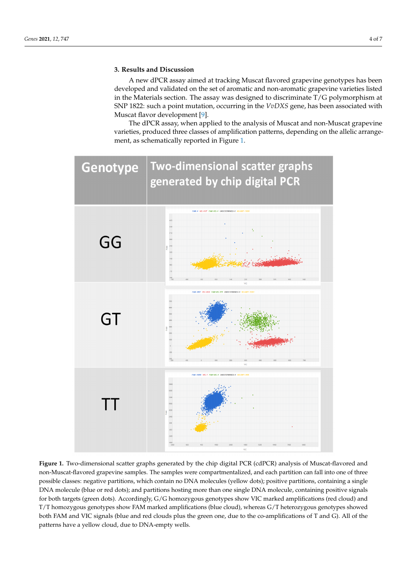# **3. Results and Discussion**

A new dPCR assay aimed at tracking Muscat flavored grapevine genotypes has been developed and validated on the set of aromatic and non-aromatic grapevine varieties listed in the Materials section. The assay was designed to discriminate T/G polymorphism at SNP 1822: such a point mutation, occurring in the *VvDXS* gene, has been associated with Muscat flavor development [\[9\]](#page-5-7).

The dPCR assay, when applied to the analysis of Muscat and non-Muscat grapevine varieties, produced three classes of amplification patterns, depending on the allelic arrangement, as schematically reported in Figure [1.](#page-3-0)

<span id="page-3-0"></span>

**Figure 1.** Two-dimensional scatter graphs generated by the chip digital PCR (cdPCR) analysis of Muscat-flavored and non-Muscat-flavored grapevine samples. The samples were compartmentalized, and each partition can fall into one of three possible classes: negative partitions, which contain no DNA molecules (yellow dots); positive partitions, containing a single DNA molecule (blue or red dots); and partitions hosting more than one single DNA molecule, containing positive signals for both targets (green dots). Accordingly, G/G homozygous genotypes show VIC marked amplifications (red cloud) and T/T homozygous genotypes show FAM marked amplifications (blue cloud), whereas G/T heterozygous genotypes showed both FAM and VIC signals (blue and red clouds plus the green one, due to the co-amplifications of T and G). All of the patterns have a yellow cloud, due to DNA-empty wells.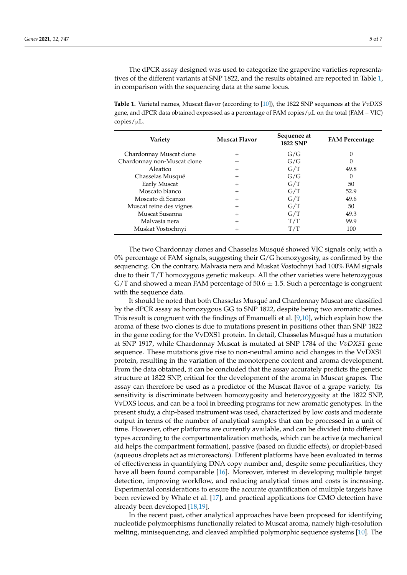The dPCR assay designed was used to categorize the grapevine varieties representatives of the different variants at SNP 1822, and the results obtained are reported in Table [1,](#page-4-0) in comparison with the sequencing data at the same locus.

<span id="page-4-0"></span>**Table 1.** Varietal names, Muscat flavor (according to [\[10\]](#page-5-8)), the 1822 SNP sequences at the *VvDXS* gene, and dPCR data obtained expressed as a percentage of FAM copies/ $\mu$ L on the total (FAM + VIC)  $copies/µL$ .

| Variety                     | Muscat Flavor | Sequence at<br><b>1822 SNP</b> | <b>FAM Percentage</b> |
|-----------------------------|---------------|--------------------------------|-----------------------|
| Chardonnay Muscat clone     | $\mathrm{+}$  | G/G                            |                       |
| Chardonnay non-Muscat clone |               | G/G                            |                       |
| Aleatico                    | $^+$          | G/T                            | 49.8                  |
| Chasselas Musqué            | $\mathrm{+}$  | G/G                            | $\theta$              |
| Early Muscat                | $^+$          | G/T                            | 50                    |
| Moscato bianco              | $^{+}$        | G/T                            | 52.9                  |
| Moscato di Scanzo           | $\mathrm{+}$  | G/T                            | 49.6                  |
| Muscat reine des vignes     | $^+$          | G/T                            | 50                    |
| Muscat Susanna              | $^{+}$        | G/T                            | 49.3                  |
| Malvasia nera               | $\mathrm{+}$  | T/T                            | 99.9                  |
| Muskat Vostochnyi           | ┿             | $\rm T/T$                      | 100                   |

The two Chardonnay clones and Chasselas Musqué showed VIC signals only, with a  $0\%$  percentage of FAM signals, suggesting their G/G homozygosity, as confirmed by the sequencing. On the contrary, Malvasia nera and Muskat Vostochnyi had 100% FAM signals due to their T/T homozygous genetic makeup. All the other varieties were heterozygous  $G/T$  and showed a mean FAM percentage of 50.6  $\pm$  1.5. Such a percentage is congruent with the sequence data.

It should be noted that both Chasselas Musqué and Chardonnay Muscat are classified by the dPCR assay as homozygous GG to SNP 1822, despite being two aromatic clones. This result is congruent with the findings of Emanuelli et al. [\[9](#page-5-7)[,10\]](#page-5-8), which explain how the aroma of these two clones is due to mutations present in positions other than SNP 1822 in the gene coding for the VvDXS1 protein. In detail, Chasselas Musqué has a mutation at SNP 1917, while Chardonnay Muscat is mutated at SNP 1784 of the *VvDXS1* gene sequence. These mutations give rise to non-neutral amino acid changes in the VvDXS1 protein, resulting in the variation of the monoterpene content and aroma development. From the data obtained, it can be concluded that the assay accurately predicts the genetic structure at 1822 SNP, critical for the development of the aroma in Muscat grapes. The assay can therefore be used as a predictor of the Muscat flavor of a grape variety. Its sensitivity is discriminate between homozygosity and heterozygosity at the 1822 SNP, VvDXS locus, and can be a tool in breeding programs for new aromatic genotypes. In the present study, a chip-based instrument was used, characterized by low costs and moderate output in terms of the number of analytical samples that can be processed in a unit of time. However, other platforms are currently available, and can be divided into different types according to the compartmentalization methods, which can be active (a mechanical aid helps the compartment formation), passive (based on fluidic effects), or droplet-based (aqueous droplets act as microreactors). Different platforms have been evaluated in terms of effectiveness in quantifying DNA copy number and, despite some peculiarities, they have all been found comparable [\[16\]](#page-5-14). Moreover, interest in developing multiple target detection, improving workflow, and reducing analytical times and costs is increasing. Experimental considerations to ensure the accurate quantification of multiple targets have been reviewed by Whale et al. [\[17\]](#page-6-0), and practical applications for GMO detection have already been developed [\[18](#page-6-1)[,19\]](#page-6-2).

In the recent past, other analytical approaches have been proposed for identifying nucleotide polymorphisms functionally related to Muscat aroma, namely high-resolution melting, minisequencing, and cleaved amplified polymorphic sequence systems [\[10\]](#page-5-8). The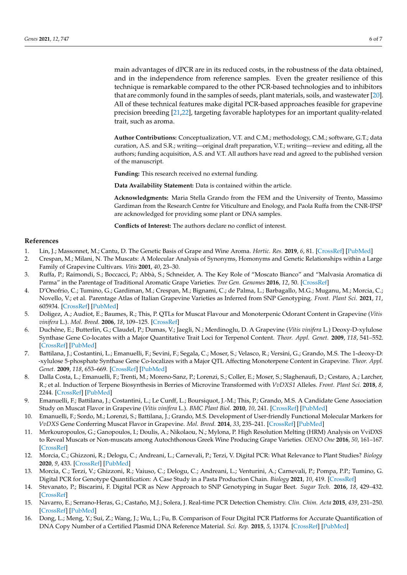main advantages of dPCR are in its reduced costs, in the robustness of the data obtained, and in the independence from reference samples. Even the greater resilience of this technique is remarkable compared to the other PCR-based technologies and to inhibitors that are commonly found in the samples of seeds, plant materials, soils, and wastewater [\[20\]](#page-6-3). All of these technical features make digital PCR-based approaches feasible for grapevine precision breeding [\[21,](#page-6-4)[22\]](#page-6-5), targeting favorable haplotypes for an important quality-related trait, such as aroma.

**Author Contributions:** Conceptualization, V.T. and C.M.; methodology, C.M.; software, G.T.; data curation, A.S. and S.R.; writing—original draft preparation, V.T.; writing—review and editing, all the authors; funding acquisition, A.S. and V.T. All authors have read and agreed to the published version of the manuscript.

**Funding:** This research received no external funding.

**Data Availability Statement:** Data is contained within the article.

**Acknowledgments:** Maria Stella Grando from the FEM and the University of Trento, Massimo Gardiman from the Research Centre for Viticulture and Enology, and Paola Ruffa from the CNR-IPSP are acknowledged for providing some plant or DNA samples.

**Conflicts of Interest:** The authors declare no conflict of interest.

#### **References**

- <span id="page-5-0"></span>1. Lin, J.; Massonnet, M.; Cantu, D. The Genetic Basis of Grape and Wine Aroma. *Hortic. Res.* **2019**, *6*, 81. [\[CrossRef\]](http://doi.org/10.1038/s41438-019-0163-1) [\[PubMed\]](http://www.ncbi.nlm.nih.gov/pubmed/31645942)
- <span id="page-5-1"></span>2. Crespan, M.; Milani, N. The Muscats: A Molecular Analysis of Synonyms, Homonyms and Genetic Relationships within a Large Family of Grapevine Cultivars. *Vitis* **2001**, *40*, 23–30.
- 3. Ruffa, P.; Raimondi, S.; Boccacci, P.; Abbà, S.; Schneider, A. The Key Role of "Moscato Bianco" and "Malvasia Aromatica di Parma" in the Parentage of Traditional Aromatic Grape Varieties. *Tree Gen. Genomes* **2016**, *12*, 50. [\[CrossRef\]](http://doi.org/10.1007/s11295-016-1006-y)
- <span id="page-5-2"></span>4. D'Onofrio, C.; Tumino, G.; Gardiman, M.; Crespan, M.; Bignami, C.; de Palma, L.; Barbagallo, M.G.; Muganu, M.; Morcia, C.; Novello, V.; et al. Parentage Atlas of Italian Grapevine Varieties as Inferred from SNP Genotyping. *Front. Plant Sci.* **2021**, *11*, 605934. [\[CrossRef\]](http://doi.org/10.3389/fpls.2020.605934) [\[PubMed\]](http://www.ncbi.nlm.nih.gov/pubmed/33584749)
- <span id="page-5-3"></span>5. Doligez, A.; Audiot, E.; Baumes, R.; This, P. QTLs for Muscat Flavour and Monoterpenic Odorant Content in Grapevine (*Vitis vinifera* L.). *Mol. Breed.* **2006**, *18*, 109–125. [\[CrossRef\]](http://doi.org/10.1007/s11032-006-9016-3)
- <span id="page-5-4"></span>6. Duchêne, E.; Butterlin, G.; Claudel, P.; Dumas, V.; Jaegli, N.; Merdinoglu, D. A Grapevine (*Vitis vinifera* L.) Deoxy-D-xylulose Synthase Gene Co-locates with a Major Quantitative Trait Loci for Terpenol Content. *Theor. Appl. Genet.* **2009**, *118*, 541–552. [\[CrossRef\]](http://doi.org/10.1007/s00122-008-0919-8) [\[PubMed\]](http://www.ncbi.nlm.nih.gov/pubmed/19002427)
- <span id="page-5-5"></span>7. Battilana, J.; Costantini, L.; Emanuelli, F.; Sevini, F.; Segala, C.; Moser, S.; Velasco, R.; Versini, G.; Grando, M.S. The 1-deoxy-D: -xylulose 5-phosphate Synthase Gene Co-localizes with a Major QTL Affecting Monoterpene Content in Grapevine. *Theor. Appl. Genet.* **2009**, *118*, 653–669. [\[CrossRef\]](http://doi.org/10.1007/s00122-008-0927-8) [\[PubMed\]](http://www.ncbi.nlm.nih.gov/pubmed/19037624)
- <span id="page-5-6"></span>8. Dalla Costa, L.; Emanuelli, F.; Trenti, M.; Moreno-Sanz, P.; Lorenzi, S.; Coller, E.; Moser, S.; Slaghenaufi, D.; Cestaro, A.; Larcher, R.; et al. Induction of Terpene Biosynthesis in Berries of Microvine Transformed with *VvDXS1* Alleles. *Front. Plant Sci.* **2018**, *8*, 2244. [\[CrossRef\]](http://doi.org/10.3389/fpls.2017.02244) [\[PubMed\]](http://www.ncbi.nlm.nih.gov/pubmed/29387072)
- <span id="page-5-7"></span>9. Emanuelli, F.; Battilana, J.; Costantini, L.; Le Cunff, L.; Boursiquot, J.-M.; This, P.; Grando, M.S. A Candidate Gene Association Study on Muscat Flavor in Grapevine (*Vitis vinifera* L.). *BMC Plant Biol.* **2010**, *10*, 241. [\[CrossRef\]](http://doi.org/10.1186/1471-2229-10-241) [\[PubMed\]](http://www.ncbi.nlm.nih.gov/pubmed/21062440)
- <span id="page-5-8"></span>10. Emanuelli, F.; Sordo, M.; Lorenzi, S.; Battilana, J.; Grando, M.S. Development of User-friendly Functional Molecular Markers for *VvDXS* Gene Conferring Muscat Flavor in Grapevine. *Mol. Breed.* **2014**, *33*, 235–241. [\[CrossRef\]](http://doi.org/10.1007/s11032-013-9929-6) [\[PubMed\]](http://www.ncbi.nlm.nih.gov/pubmed/24482604)
- <span id="page-5-9"></span>11. Merkouropoulos, G.; Ganopoulos, I.; Doulis, A.; Nikolaou, N.; Mylona, P. High Resolution Melting (HRM) Analysis on VviDXS to Reveal Muscats or Non-muscats among Autochthonous Greek Wine Producing Grape Varieties. *OENO One* **2016**, *50*, 161–167. [\[CrossRef\]](http://doi.org/10.20870/oeno-one.2016.50.3.1571)
- <span id="page-5-10"></span>12. Morcia, C.; Ghizzoni, R.; Delogu, C.; Andreani, L.; Carnevali, P.; Terzi, V. Digital PCR: What Relevance to Plant Studies? *Biology* **2020**, *9*, 433. [\[CrossRef\]](http://doi.org/10.3390/biology9120433) [\[PubMed\]](http://www.ncbi.nlm.nih.gov/pubmed/33266157)
- <span id="page-5-11"></span>13. Morcia, C.; Terzi, V.; Ghizzoni, R.; Vaiuso, C.; Delogu, C.; Andreani, L.; Venturini, A.; Carnevali, P.; Pompa, P.P.; Tumino, G. Digital PCR for Genotype Quantification: A Case Study in a Pasta Production Chain. *Biology* **2021**, *10*, 419. [\[CrossRef\]](http://doi.org/10.3390/biology10050419)
- <span id="page-5-12"></span>14. Stevanato, P.; Biscarini, F. Digital PCR as New Approach to SNP Genotyping in Sugar Beet. *Sugar Tech.* **2016**, *18*, 429–432. [\[CrossRef\]](http://doi.org/10.1007/s12355-015-0408-8)
- <span id="page-5-13"></span>15. Navarro, E.; Serrano-Heras, G.; Castaño, M.J.; Solera, J. Real-time PCR Detection Chemistry. *Clin. Chim. Acta* **2015**, *439*, 231–250. [\[CrossRef\]](http://doi.org/10.1016/j.cca.2014.10.017) [\[PubMed\]](http://www.ncbi.nlm.nih.gov/pubmed/25451956)
- <span id="page-5-14"></span>16. Dong, L.; Meng, Y.; Sui, Z.; Wang, J.; Wu, L.; Fu, B. Comparison of Four Digital PCR Platforms for Accurate Quantification of DNA Copy Number of a Certified Plasmid DNA Reference Material. *Sci. Rep.* **2015**, *5*, 13174. [\[CrossRef\]](http://doi.org/10.1038/srep13174) [\[PubMed\]](http://www.ncbi.nlm.nih.gov/pubmed/26302947)